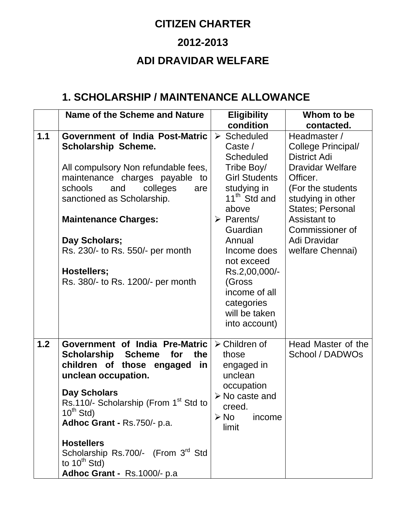## **CITIZEN CHARTER 2012-2013 ADI DRAVIDAR WELFARE**

## **1. SCHOLARSHIP / MAINTENANCE ALLOWANCE**

|       | <b>Name of the Scheme and Nature</b>                                                                                                                                                                                                                                                                                                                                                                  | <b>Eligibility</b>                                                                                                                                                                                                                                                                                                              | Whom to be                                                                                                                                                                                                                            |
|-------|-------------------------------------------------------------------------------------------------------------------------------------------------------------------------------------------------------------------------------------------------------------------------------------------------------------------------------------------------------------------------------------------------------|---------------------------------------------------------------------------------------------------------------------------------------------------------------------------------------------------------------------------------------------------------------------------------------------------------------------------------|---------------------------------------------------------------------------------------------------------------------------------------------------------------------------------------------------------------------------------------|
|       |                                                                                                                                                                                                                                                                                                                                                                                                       | condition                                                                                                                                                                                                                                                                                                                       | contacted.                                                                                                                                                                                                                            |
| 1.1   | <b>Government of India Post-Matric</b><br><b>Scholarship Scheme.</b><br>All compulsory Non refundable fees,<br>maintenance charges payable<br>to<br>schools<br>and<br>colleges<br>are<br>sanctioned as Scholarship.<br><b>Maintenance Charges:</b><br>Day Scholars;<br>Rs. 230/- to Rs. 550/- per month<br>Hostellers;<br>Rs. 380/- to Rs. 1200/- per month                                           | $\triangleright$ Scheduled<br>Caste /<br><b>Scheduled</b><br>Tribe Boy/<br><b>Girl Students</b><br>studying in<br>11 <sup>th</sup> Std and<br>above<br>$\triangleright$ Parents/<br>Guardian<br>Annual<br>Income does<br>not exceed<br>Rs.2,00,000/-<br>(Gross<br>income of all<br>categories<br>will be taken<br>into account) | Headmaster /<br>College Principal/<br><b>District Adi</b><br><b>Dravidar Welfare</b><br>Officer.<br>(For the students<br>studying in other<br>States; Personal<br>Assistant to<br>Commissioner of<br>Adi Dravidar<br>welfare Chennai) |
| $1.2$ | Government of India Pre-Matric<br><b>Scholarship</b><br><b>Scheme</b><br>for<br>the<br>children of those engaged<br>in<br>unclean occupation.<br><b>Day Scholars</b><br>Rs.110/- Scholarship (From 1 <sup>st</sup> Std to<br>$10^{th}$ Std)<br>Adhoc Grant - Rs.750/- p.a.<br><b>Hostellers</b><br>Scholarship Rs.700/- (From 3 <sup>rd</sup> Std<br>to $10^{th}$ Std)<br>Adhoc Grant - Rs.1000/- p.a | $\triangleright$ Children of<br>those<br>engaged in<br>unclean<br>occupation<br>$\triangleright$ No caste and<br>creed.<br>$\triangleright$ No<br>income<br>limit                                                                                                                                                               | Head Master of the<br>School / DADWOs                                                                                                                                                                                                 |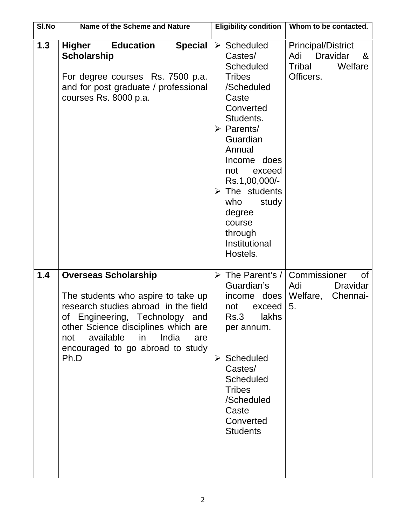| SI.No | Name of the Scheme and Nature                                                                                                                                                                                                                                                     | <b>Eligibility condition</b>                                                                                                                                                                                                                                                                                                                 | Whom to be contacted.                                                                      |
|-------|-----------------------------------------------------------------------------------------------------------------------------------------------------------------------------------------------------------------------------------------------------------------------------------|----------------------------------------------------------------------------------------------------------------------------------------------------------------------------------------------------------------------------------------------------------------------------------------------------------------------------------------------|--------------------------------------------------------------------------------------------|
| 1.3   | <b>Higher</b><br><b>Special</b><br><b>Education</b><br><b>Scholarship</b><br>For degree courses Rs. 7500 p.a.<br>and for post graduate / professional<br>courses Rs. 8000 p.a.                                                                                                    | $\triangleright$ Scheduled<br>Castes/<br><b>Scheduled</b><br><b>Tribes</b><br>/Scheduled<br>Caste<br>Converted<br>Students.<br>$\triangleright$ Parents/<br>Guardian<br>Annual<br>Income does<br>not<br>exceed<br>Rs.1,00,000/-<br>$\triangleright$ The students<br>who<br>study<br>degree<br>course<br>through<br>Institutional<br>Hostels. | <b>Principal/District</b><br><b>Dravidar</b><br>Adi<br>&<br>Welfare<br>Tribal<br>Officers. |
| 1.4   | <b>Overseas Scholarship</b><br>The students who aspire to take up<br>research studies abroad in the field<br>of<br>Engineering,<br>Technology<br>and<br>other Science disciplines which are<br>available<br>in<br>India<br>not<br>are<br>encouraged to go abroad to study<br>Ph.D | $\triangleright$ The Parent's /<br>Guardian's<br>income does<br>not<br>exceed<br>Rs.3<br>lakhs<br>per annum.<br>$\triangleright$ Scheduled<br>Castes/<br><b>Scheduled</b><br><b>Tribes</b><br>/Scheduled<br>Caste<br>Converted<br><b>Students</b>                                                                                            | Commissioner<br>Οf<br><b>Dravidar</b><br>Adi<br>Welfare,<br>Chennai-<br>5.                 |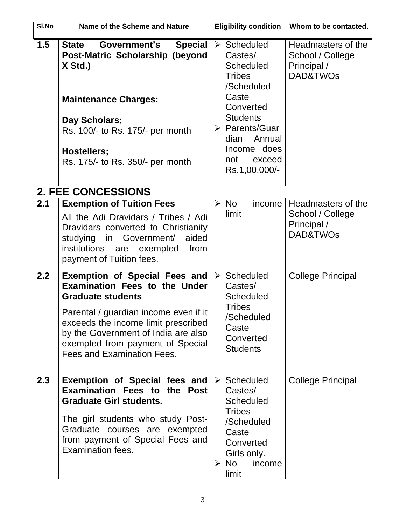| SI.No | Name of the Scheme and Nature                                                                                                                                                                                                                                                                            | <b>Eligibility condition</b>                                                                                                                                                                                                          | Whom to be contacted.                                                         |
|-------|----------------------------------------------------------------------------------------------------------------------------------------------------------------------------------------------------------------------------------------------------------------------------------------------------------|---------------------------------------------------------------------------------------------------------------------------------------------------------------------------------------------------------------------------------------|-------------------------------------------------------------------------------|
| 1.5   | Government's<br><b>Special</b><br><b>State</b><br>Post-Matric Scholarship (beyond<br>X Std.)<br><b>Maintenance Charges:</b><br>Day Scholars;<br>Rs. 100/- to Rs. 175/- per month<br>Hostellers;<br>Rs. 175/- to Rs. 350/- per month                                                                      | $\triangleright$ Scheduled<br>Castes/<br><b>Scheduled</b><br><b>Tribes</b><br>/Scheduled<br>Caste<br>Converted<br><b>Students</b><br>$\triangleright$ Parents/Guar<br>Annual<br>dian<br>Income does<br>exceed<br>not<br>Rs.1,00,000/- | Headmasters of the<br>School / College<br>Principal /<br>DAD&TWO <sub>s</sub> |
|       | <b>2. FEE CONCESSIONS</b>                                                                                                                                                                                                                                                                                |                                                                                                                                                                                                                                       |                                                                               |
| 2.1   | <b>Exemption of Tuition Fees</b><br>All the Adi Dravidars / Tribes / Adi<br>Dravidars converted to Christianity<br>studying in Government/<br>aided<br>institutions<br>exempted<br>from<br>are<br>payment of Tuition fees.                                                                               | $\triangleright$ No<br>income<br>limit                                                                                                                                                                                                | Headmasters of the<br>School / College<br>Principal /<br>DAD&TWOs             |
| 2.2   | <b>Exemption of Special Fees and</b><br><b>Examination Fees to the Under</b><br><b>Graduate students</b><br>Parental / guardian income even if it<br>exceeds the income limit prescribed<br>by the Government of India are also<br>exempted from payment of Special<br><b>Fees and Examination Fees.</b> | $\triangleright$ Scheduled<br>Castes/<br><b>Scheduled</b><br><b>Tribes</b><br>/Scheduled<br>Caste<br>Converted<br><b>Students</b>                                                                                                     | <b>College Principal</b>                                                      |
| 2.3   | Exemption of Special fees and<br><b>Examination Fees to the Post</b><br><b>Graduate Girl students.</b><br>The girl students who study Post-<br>Graduate courses are exempted<br>from payment of Special Fees and<br><b>Examination fees.</b>                                                             | $\triangleright$ Scheduled<br>Castes/<br><b>Scheduled</b><br><b>Tribes</b><br>/Scheduled<br>Caste<br>Converted<br>Girls only.<br>$\triangleright$ No<br>income<br>limit                                                               | <b>College Principal</b>                                                      |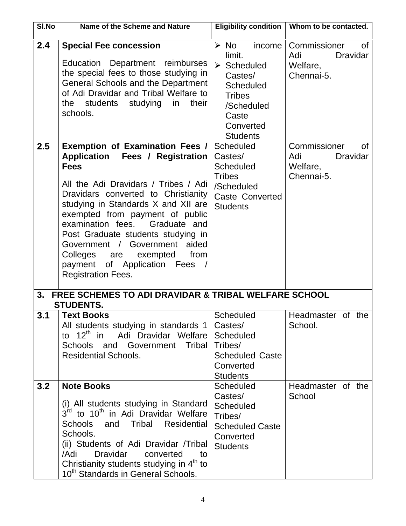| SI.No | Name of the Scheme and Nature                                                                                                                                                                                                                                                                                                                                                                                                                                              | Eligibility condition                                                                                                                                                        | Whom to be contacted.                                                         |
|-------|----------------------------------------------------------------------------------------------------------------------------------------------------------------------------------------------------------------------------------------------------------------------------------------------------------------------------------------------------------------------------------------------------------------------------------------------------------------------------|------------------------------------------------------------------------------------------------------------------------------------------------------------------------------|-------------------------------------------------------------------------------|
| 2.4   | <b>Special Fee concession</b><br>Education Department reimburses<br>the special fees to those studying in<br>General Schools and the Department<br>of Adi Dravidar and Tribal Welfare to<br>students studying<br>their<br>the<br>in<br>schools.                                                                                                                                                                                                                            | $\triangleright$ No<br>income<br>limit.<br>$\triangleright$ Scheduled<br>Castes/<br><b>Scheduled</b><br><b>Tribes</b><br>/Scheduled<br>Caste<br>Converted<br><b>Students</b> | Commissioner<br><b>of</b><br><b>Dravidar</b><br>Adi<br>Welfare,<br>Chennai-5. |
| 2.5   | <b>Exemption of Examination Fees /</b><br><b>Application</b><br>Fees / Registration<br><b>Fees</b><br>All the Adi Dravidars / Tribes / Adi<br>Dravidars converted to Christianity<br>studying in Standards X and XII are<br>exempted from payment of public<br>examination fees.<br>Graduate and<br>Post Graduate students studying in<br>Government /<br>Government<br>aided<br>Colleges are exempted<br>from<br>payment of Application Fees<br><b>Registration Fees.</b> | <b>Scheduled</b><br>Castes/<br><b>Scheduled</b><br><b>Tribes</b><br>/Scheduled<br><b>Caste Converted</b><br><b>Students</b>                                                  | Commissioner<br>0f<br><b>Dravidar</b><br>Adi<br>Welfare,<br>Chennai-5.        |
| 3.    | <b>FREE SCHEMES TO ADI DRAVIDAR &amp; TRIBAL WELFARE SCHOOL</b><br><b>STUDENTS.</b>                                                                                                                                                                                                                                                                                                                                                                                        |                                                                                                                                                                              |                                                                               |
| 3.1   | <b>Text Books</b><br>All students studying in standards 1<br>to 12 <sup>th</sup> in Adi Dravidar Welfare<br>Schools and Government Tribal<br><b>Residential Schools.</b>                                                                                                                                                                                                                                                                                                   | Scheduled<br>Castes/<br><b>Scheduled</b><br>Tribes/<br><b>Scheduled Caste</b><br>Converted<br><b>Students</b>                                                                | Headmaster of the<br>School.                                                  |
| 3.2   | <b>Note Books</b><br>(i) All students studying in Standard<br>3 <sup>rd</sup> to 10 <sup>th</sup> in Adi Dravidar Welfare<br>Tribal<br><b>Residential</b><br><b>Schools</b><br>and<br>Schools.<br>(ii) Students of Adi Dravidar /Tribal<br>/Adi<br><b>Dravidar</b><br>converted<br>to<br>Christianity students studying in 4 <sup>th</sup> to<br>10 <sup>th</sup> Standards in General Schools.                                                                            | <b>Scheduled</b><br>Castes/<br><b>Scheduled</b><br>Tribes/<br><b>Scheduled Caste</b><br>Converted<br><b>Students</b>                                                         | Headmaster of the<br>School                                                   |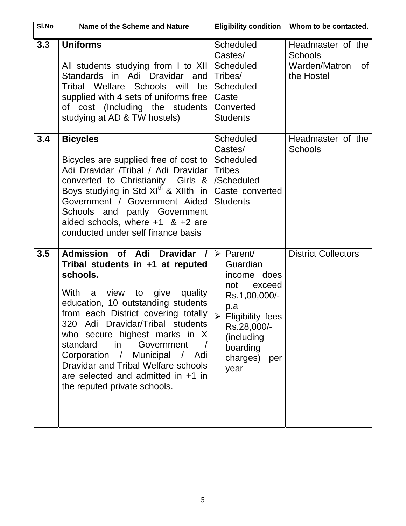| SI.No | Name of the Scheme and Nature                                                                                                                                                                                                                                                                                                                                                                                                                                                         | <b>Eligibility condition</b>                                                                                                                                                                | Whom to be contacted.                                      |
|-------|---------------------------------------------------------------------------------------------------------------------------------------------------------------------------------------------------------------------------------------------------------------------------------------------------------------------------------------------------------------------------------------------------------------------------------------------------------------------------------------|---------------------------------------------------------------------------------------------------------------------------------------------------------------------------------------------|------------------------------------------------------------|
| 3.3   | <b>Uniforms</b><br>All students studying from I to XII                                                                                                                                                                                                                                                                                                                                                                                                                                | <b>Scheduled</b><br>Castes/<br><b>Scheduled</b>                                                                                                                                             | Headmaster of the<br><b>Schools</b><br>Warden/Matron<br>0f |
|       | Standards in Adi Dravidar and<br>Tribal Welfare Schools<br>will<br>be<br>supplied with 4 sets of uniforms free<br>of cost (Including the students<br>studying at AD & TW hostels)                                                                                                                                                                                                                                                                                                     | Tribes/<br><b>Scheduled</b><br>Caste<br>Converted<br><b>Students</b>                                                                                                                        | the Hostel                                                 |
| 3.4   | <b>Bicycles</b><br>Bicycles are supplied free of cost to<br>Adi Dravidar /Tribal / Adi Dravidar<br>converted to Christianity<br>Girls $\&$<br>Boys studying in Std $XI^{th}$ & XIIth in<br>Government / Government Aided<br>Schools and partly Government<br>aided schools, where $+1$ & $+2$ are<br>conducted under self finance basis                                                                                                                                               | <b>Scheduled</b><br>Castes/<br><b>Scheduled</b><br><b>Tribes</b><br>/Scheduled<br>Caste converted<br><b>Students</b>                                                                        | Headmaster of the<br><b>Schools</b>                        |
| 3.5   | <b>Admission of</b><br>Adi<br><b>Dravidar</b><br>Tribal students in +1 at reputed<br>schools.<br>With<br>view<br>give<br>quality<br>to<br>a<br>education, 10 outstanding students<br>from each District covering totally<br>320 Adi Dravidar/Tribal students<br>who secure highest marks in X<br>standard<br>in the set<br>Government<br>Corporation / Municipal / Adi<br>Dravidar and Tribal Welfare schools<br>are selected and admitted in $+1$ in<br>the reputed private schools. | $\triangleright$ Parent/<br>Guardian<br>income does<br>not<br>exceed<br>Rs.1,00,000/-<br>p.a<br><b>Eligibility fees</b><br>Rs.28,000/-<br>(including<br>boarding<br>charges)<br>per<br>year | <b>District Collectors</b>                                 |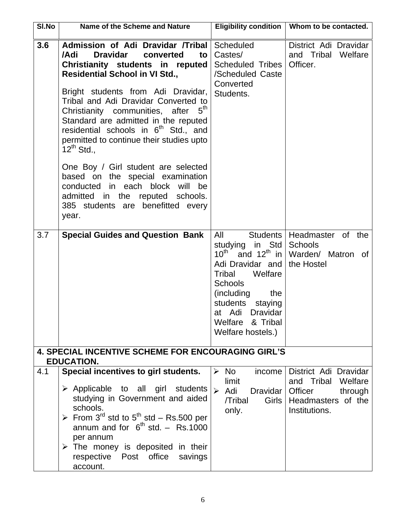| SI.No | Name of the Scheme and Nature                                                                                                                                                                                                                                                                                                                                                                                                                                                                                                                                                                                                                  | <b>Eligibility condition</b>                                                                                                                                                                              | Whom to be contacted.                                                                                       |
|-------|------------------------------------------------------------------------------------------------------------------------------------------------------------------------------------------------------------------------------------------------------------------------------------------------------------------------------------------------------------------------------------------------------------------------------------------------------------------------------------------------------------------------------------------------------------------------------------------------------------------------------------------------|-----------------------------------------------------------------------------------------------------------------------------------------------------------------------------------------------------------|-------------------------------------------------------------------------------------------------------------|
| 3.6   | Admission of Adi Dravidar /Tribal<br>/Adi<br><b>Dravidar</b><br>converted<br>to<br>Christianity students in reputed<br><b>Residential School in VI Std.,</b><br>Bright students from Adi Dravidar,<br>Tribal and Adi Dravidar Converted to<br>Christianity communities, after<br>Standard are admitted in the reputed<br>residential schools in 6 <sup>th</sup> Std., and<br>permitted to continue their studies upto<br>$12^{th}$ Std.,<br>One Boy / Girl student are selected<br>based on the special examination<br>conducted in each block will<br>be<br>admitted in the<br>reputed schools.<br>385 students are benefitted every<br>year. | <b>Scheduled</b><br>Castes/<br><b>Scheduled Tribes</b><br>/Scheduled Caste<br>Converted<br>Students.                                                                                                      | District Adi Dravidar<br>and Tribal<br>Welfare<br>Officer.                                                  |
| 3.7   | <b>Special Guides and Question Bank</b>                                                                                                                                                                                                                                                                                                                                                                                                                                                                                                                                                                                                        | All<br>studying<br>$10^{\text{th}}$<br>Adi Dravidar and<br>Tribal<br>Welfare<br>Schools<br>(including<br>the<br>students<br>staying<br>at Adi<br><b>Dravidar</b><br>Welfare & Tribal<br>Welfare hostels.) | Students   Headmaster of the<br>in Std   Schools<br>and $12^{th}$ in Warden/ Matron of<br>the Hostel        |
|       | <b>4. SPECIAL INCENTIVE SCHEME FOR ENCOURAGING GIRL'S</b><br><b>EDUCATION.</b>                                                                                                                                                                                                                                                                                                                                                                                                                                                                                                                                                                 |                                                                                                                                                                                                           |                                                                                                             |
| 4.1   | Special incentives to girl students.<br>$\triangleright$ Applicable to all girl students<br>studying in Government and aided<br>schools.<br>From 3 <sup>rd</sup> std to 5 <sup>th</sup> std – Rs.500 per<br>annum and for $6^{th}$ std. - Rs.1000<br>per annum<br>$\triangleright$ The money is deposited in their<br>respective Post<br>office<br>savings<br>account.                                                                                                                                                                                                                                                                         | $\triangleright$ No<br>income<br>limit<br>Adi<br>$\blacktriangleright$<br>Dravidar  <br>/Tribal<br>Girls<br>only.                                                                                         | District Adi Dravidar<br>and Tribal<br>Welfare<br>Officer<br>through<br>Headmasters of the<br>Institutions. |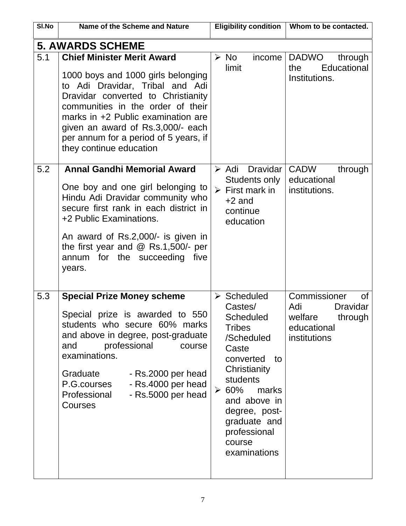| SI.No | Name of the Scheme and Nature                                                                                                                                                                                                                                                                                                        | <b>Eligibility condition</b>                                                                                                                                                                                                                                        | Whom to be contacted.                                                                                    |
|-------|--------------------------------------------------------------------------------------------------------------------------------------------------------------------------------------------------------------------------------------------------------------------------------------------------------------------------------------|---------------------------------------------------------------------------------------------------------------------------------------------------------------------------------------------------------------------------------------------------------------------|----------------------------------------------------------------------------------------------------------|
|       | <b>5. AWARDS SCHEME</b>                                                                                                                                                                                                                                                                                                              |                                                                                                                                                                                                                                                                     |                                                                                                          |
| 5.1   | <b>Chief Minister Merit Award</b><br>1000 boys and 1000 girls belonging<br>to Adi Dravidar, Tribal and Adi<br>Dravidar converted to Christianity<br>communities in the order of their<br>marks in +2 Public examination are<br>given an award of Rs.3,000/- each<br>per annum for a period of 5 years, if<br>they continue education | $\triangleright$ No<br>income<br>limit                                                                                                                                                                                                                              | <b>DADWO</b><br>through<br>Educational<br>the<br>Institutions.                                           |
| 5.2   | <b>Annal Gandhi Memorial Award</b><br>One boy and one girl belonging to<br>Hindu Adi Dravidar community who<br>secure first rank in each district in<br>+2 Public Examinations.<br>An award of Rs.2,000/- is given in<br>the first year and $@$ Rs.1,500/- per<br>annum for the succeeding<br>five<br>years.                         | <b>Dravidar</b><br>$\triangleright$ Adi<br>Students only<br>$\triangleright$ First mark in<br>$+2$ and<br>continue<br>education                                                                                                                                     | <b>CADW</b><br>through<br>educational<br>institutions.                                                   |
| 5.3   | <b>Special Prize Money scheme</b><br>Special prize is awarded to 550<br>students who secure 60% marks<br>and above in degree, post-graduate<br>professional<br>and<br>course<br>examinations.<br>Graduate<br>- Rs.2000 per head<br>- Rs.4000 per head<br>P.G.courses<br>- Rs.5000 per head<br>Professional<br>Courses                | $\triangleright$ Scheduled<br>Castes/<br><b>Scheduled</b><br><b>Tribes</b><br>/Scheduled<br>Caste<br>converted<br>to<br>Christianity<br>students<br>$\geq 60\%$<br>marks<br>and above in<br>degree, post-<br>graduate and<br>professional<br>course<br>examinations | Commissioner<br><b>of</b><br>Adi<br><b>Dravidar</b><br>welfare<br>through<br>educational<br>institutions |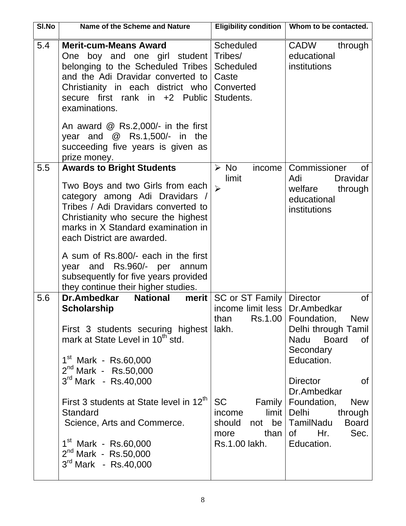| SI.No | Name of the Scheme and Nature                                                                                                                                                                                                                                                                                                                                                                                             |                                                                                                                                                              | Eligibility condition   Whom to be contacted.                                                                                                                                                                                                                                           |
|-------|---------------------------------------------------------------------------------------------------------------------------------------------------------------------------------------------------------------------------------------------------------------------------------------------------------------------------------------------------------------------------------------------------------------------------|--------------------------------------------------------------------------------------------------------------------------------------------------------------|-----------------------------------------------------------------------------------------------------------------------------------------------------------------------------------------------------------------------------------------------------------------------------------------|
| 5.4   | <b>Merit-cum-Means Award</b><br>One boy and one girl student<br>belonging to the Scheduled Tribes<br>and the Adi Dravidar converted to<br>Christianity in each district who<br>secure first rank in +2 Public<br>examinations.<br>An award $\textcircled{R}$ Rs.2,000/- in the first<br>year and $@$ Rs.1,500/- in the<br>succeeding five years is given as<br>prize money.                                               | <b>Scheduled</b><br>Tribes/<br><b>Scheduled</b><br>Caste<br>Converted<br>Students.                                                                           | CADW<br>through<br>educational<br>institutions                                                                                                                                                                                                                                          |
| 5.5   | <b>Awards to Bright Students</b><br>Two Boys and two Girls from each<br>category among Adi Dravidars /<br>Tribes / Adi Dravidars converted to<br>Christianity who secure the highest<br>marks in X Standard examination in<br>each District are awarded.<br>A sum of Rs.800/- each in the first<br>year and Rs.960/- per annum<br>subsequently for five years provided<br>they continue their higher studies.             | $\triangleright$ No<br>income<br>limit<br>$\blacktriangleright$                                                                                              | Commissioner<br>0f<br>Adi<br><b>Dravidar</b><br>welfare<br>through<br>educational<br>institutions                                                                                                                                                                                       |
| 5.6   | <b>National</b><br>Dr.Ambedkar<br>merit<br><b>Scholarship</b><br>First 3 students securing highest<br>mark at State Level in 10 <sup>th</sup> std.<br>$1st$ Mark - Rs.60,000<br>$2^{nd}$ Mark - Rs.50,000<br>$3^{rd}$ Mark - Rs.40,000<br>First 3 students at State level in 12 <sup>th</sup><br>Standard<br>Science, Arts and Commerce.<br>$1st$ Mark - Rs.60,000<br>$2^{nd}$ Mark - Rs.50,000<br>$3rd$ Mark - Rs.40,000 | SC or ST Family   Director<br>income limit less   Dr. Ambedkar<br>lakh.<br><b>SC</b><br>Family  <br>income<br>should<br>not<br>than<br>more<br>Rs.1.00 lakh. | of<br>than $\text{Rs.1.00}$ Foundation, New<br>Delhi through Tamil<br>Nadu Board<br>0f<br>Secondary<br>Education.<br><b>Director</b><br>0f<br>Dr.Ambedkar<br>Foundation,<br><b>New</b><br>limit   Delhi<br>through<br>be   TamilNadu<br><b>Board</b><br>Hr.<br>Sec.<br>0f<br>Education. |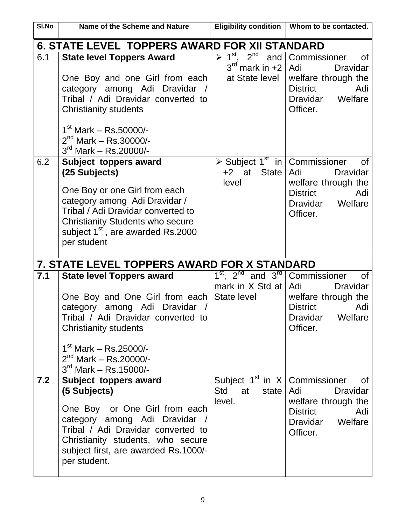| SI.No | Name of the Scheme and Nature                                                                                                                                                                                                                                    |                                                                                                             | Eligibility condition   Whom to be contacted.                                                                                        |
|-------|------------------------------------------------------------------------------------------------------------------------------------------------------------------------------------------------------------------------------------------------------------------|-------------------------------------------------------------------------------------------------------------|--------------------------------------------------------------------------------------------------------------------------------------|
|       | <b>6. STATE LEVEL TOPPERS AWARD FOR XII STANDARD</b>                                                                                                                                                                                                             |                                                                                                             |                                                                                                                                      |
| 6.1   | <b>State level Toppers Award</b><br>One Boy and one Girl from each<br>category among Adi Dravidar /<br>Tribal / Adi Dravidar converted to<br><b>Christianity students</b><br>$1st$ Mark – Rs.50000/-<br>$2^{nd}$ Mark – Rs.30000/-<br>$3^{rd}$ Mark – Rs.20000/- | $\triangleright$ 1 <sup>st</sup> , 2 <sup>nd</sup><br>and<br>$3^{\text{rd}}$ mark in +2  <br>at State level | Commissioner<br><b>of</b><br>Adi<br><b>Dravidar</b><br>welfare through the<br><b>District</b><br>Adi<br>Dravidar Welfare<br>Officer. |
| 6.2   | Subject toppers award<br>(25 Subjects)<br>One Boy or one Girl from each<br>category among Adi Dravidar /<br>Tribal / Adi Dravidar converted to<br><b>Christianity Students who secure</b><br>subject 1 <sup>st</sup> , are awarded Rs.2000<br>per student        | $\overline{\triangleright}$ Subject 1 <sup>st</sup> in Commissioner<br>at<br><b>State</b><br>$+2$<br>level  | 0f<br>Adi<br><b>Dravidar</b><br>welfare through the<br><b>District</b><br>Adi<br>Dravidar Welfare<br>Officer.                        |
|       | 7. STATE LEVEL TOPPERS AWARD FOR X STANDARD                                                                                                                                                                                                                      |                                                                                                             |                                                                                                                                      |
| 7.1   | <b>State level Toppers award</b><br>One Boy and One Girl from each<br>category among Adi Dravidar<br>Tribal / Adi Dravidar converted to<br><b>Christianity students</b><br>$1st$ Mark – Rs.25000/-<br>$2^{nd}$ Mark – Rs.20000/-<br>$3^{rd}$ Mark – Rs.15000/-   | $1st$ , $2nd$ and $3rd$<br>mark in $X$ Std at $ $ Adi<br>State level                                        | Commissioner<br><b>of</b><br><b>Dravidar</b><br>welfare through the<br><b>District</b><br>Adi<br>Dravidar Welfare<br>Officer.        |
| 7.2   | Subject toppers award<br>(5 Subjects)<br>One Boy or One Girl from each<br>category among Adi Dravidar /<br>Tribal / Adi Dravidar converted to<br>Christianity students, who secure<br>subject first, are awarded Rs.1000/-<br>per student.                       | Subject $1st$ in X   Commissioner<br>Std<br>at<br>state<br>level.                                           | Οf<br>Adi<br><b>Dravidar</b><br>welfare through the<br><b>District</b><br>Adi<br>Dravidar<br>Welfare<br>Officer.                     |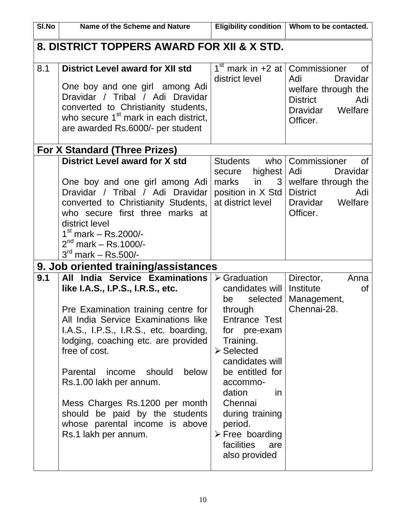| SI.No | Name of the Scheme and Nature                                                                                                                                                                                                                                                                                                                                                                                                                         | <b>Eligibility condition</b>                                                                                                                                                                                                                                                                                                              | Whom to be contacted.                                                                                                     |
|-------|-------------------------------------------------------------------------------------------------------------------------------------------------------------------------------------------------------------------------------------------------------------------------------------------------------------------------------------------------------------------------------------------------------------------------------------------------------|-------------------------------------------------------------------------------------------------------------------------------------------------------------------------------------------------------------------------------------------------------------------------------------------------------------------------------------------|---------------------------------------------------------------------------------------------------------------------------|
|       | 8. DISTRICT TOPPERS AWARD FOR XII & X STD.                                                                                                                                                                                                                                                                                                                                                                                                            |                                                                                                                                                                                                                                                                                                                                           |                                                                                                                           |
| 8.1   | <b>District Level award for XII std</b><br>One boy and one girl among Adi<br>Dravidar / Tribal / Adi Dravidar<br>converted to Christianity students,<br>who secure 1 <sup>st</sup> mark in each district,<br>are awarded Rs.6000/- per student                                                                                                                                                                                                        | $1st$ mark in +2 at Commissioner<br>district level                                                                                                                                                                                                                                                                                        | Οf<br><b>Dravidar</b><br>Adi<br>welfare through the<br><b>District</b><br>Adi<br>Dravidar Welfare<br>Officer.             |
|       | <b>For X Standard (Three Prizes)</b>                                                                                                                                                                                                                                                                                                                                                                                                                  |                                                                                                                                                                                                                                                                                                                                           |                                                                                                                           |
|       | <b>District Level award for X std</b><br>One boy and one girl among Adi<br>Dravidar / Tribal / Adi Dravidar<br>converted to Christianity Students,<br>who secure first three marks at<br>district level<br>$1st$ mark – Rs.2000/-<br>$2^{nd}$ mark – Rs.1000/-<br>$3^{rd}$ mark – Rs.500/-                                                                                                                                                            | <b>Students</b><br>highest   Adi<br>secure<br>in<br>marks<br>position in X Std<br>at district level                                                                                                                                                                                                                                       | who   Commissioner<br>0f<br><b>Dravidar</b><br>$3$ welfare through the<br>District<br>Adi<br>Dravidar Welfare<br>Officer. |
|       | 9. Job oriented training/assistances                                                                                                                                                                                                                                                                                                                                                                                                                  |                                                                                                                                                                                                                                                                                                                                           |                                                                                                                           |
| 9.1   | All India Service Examinations<br>like I.A.S., I.P.S., I.R.S., etc.<br>Pre Examination training centre for<br>All India Service Examinations like<br>I.A.S., I.P.S., I.R.S., etc. boarding,<br>lodging, coaching etc. are provided<br>free of cost.<br>Parental<br>should<br>below<br>income<br>Rs.1.00 lakh per annum.<br>Mess Charges Rs.1200 per month<br>should be paid by the students<br>whose parental income is above<br>Rs.1 lakh per annum. | $\triangleright$ Graduation<br>candidates will<br>selected<br>be<br>through<br>Entrance Test<br>for pre-exam<br>Training.<br>$\triangleright$ Selected<br>candidates will<br>be entitled for<br>accommo-<br>dation<br>in<br>Chennai<br>during training<br>period.<br>$\triangleright$ Free boarding<br>facilities<br>are<br>also provided | Director,<br>Anna<br>Institute<br>Οf<br>Management,<br>Chennai-28.                                                        |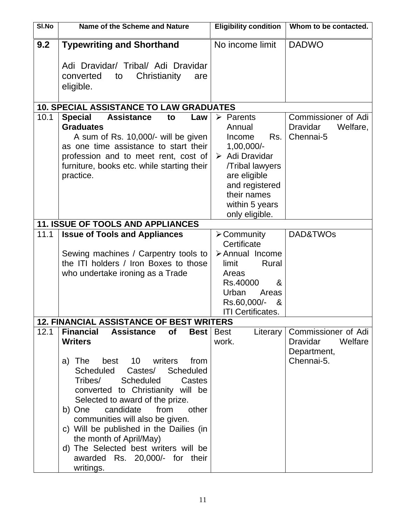| SI.No | Name of the Scheme and Nature                                                                                                                                                                                                                                                                                                                                                                                                                                                                                                                | <b>Eligibility condition</b>                                                                                                                                                                                       | Whom to be contacted.                                                          |
|-------|----------------------------------------------------------------------------------------------------------------------------------------------------------------------------------------------------------------------------------------------------------------------------------------------------------------------------------------------------------------------------------------------------------------------------------------------------------------------------------------------------------------------------------------------|--------------------------------------------------------------------------------------------------------------------------------------------------------------------------------------------------------------------|--------------------------------------------------------------------------------|
| 9.2   | <b>Typewriting and Shorthand</b><br>Adi Dravidar/ Tribal/ Adi Dravidar<br>converted<br>Christianity<br>to<br>are<br>eligible.                                                                                                                                                                                                                                                                                                                                                                                                                | No income limit                                                                                                                                                                                                    | <b>DADWO</b>                                                                   |
|       |                                                                                                                                                                                                                                                                                                                                                                                                                                                                                                                                              |                                                                                                                                                                                                                    |                                                                                |
|       | <b>10. SPECIAL ASSISTANCE TO LAW GRADUATES</b>                                                                                                                                                                                                                                                                                                                                                                                                                                                                                               |                                                                                                                                                                                                                    |                                                                                |
| 10.1  | <b>Special</b><br><b>Assistance</b><br>to<br>Law<br><b>Graduates</b><br>A sum of Rs. 10,000/- will be given<br>as one time assistance to start their<br>profession and to meet rent, cost of<br>furniture, books etc. while starting their<br>practice.                                                                                                                                                                                                                                                                                      | $\triangleright$ Parents<br>Annual<br>Rs.<br>Income<br>$1,00,000/-$<br>$\triangleright$ Adi Dravidar<br><b>Tribal lawyers</b><br>are eligible<br>and registered<br>their names<br>within 5 years<br>only eligible. | Commissioner of Adi<br><b>Dravidar</b><br>Welfare,<br>Chennai-5                |
|       | <b>11. ISSUE OF TOOLS AND APPLIANCES</b>                                                                                                                                                                                                                                                                                                                                                                                                                                                                                                     |                                                                                                                                                                                                                    |                                                                                |
| 11.1  | <b>Issue of Tools and Appliances</b><br>Sewing machines / Carpentry tools to<br>the ITI holders / Iron Boxes to those<br>who undertake ironing as a Trade                                                                                                                                                                                                                                                                                                                                                                                    | $\triangleright$ Community<br>Certificate<br>> Annual Income<br>Rural<br>limit<br>Areas<br>Rs.40000<br>&<br>Urban<br>Areas<br>Rs.60,000/-<br>&<br><b>ITI Certificates.</b>                                         | DAD&TWOs                                                                       |
|       | <u>12. FINANCIAL ASSISTANCE OF BEST WRITERS</u>                                                                                                                                                                                                                                                                                                                                                                                                                                                                                              |                                                                                                                                                                                                                    |                                                                                |
| 12.1  | <b>Financial</b><br><b>of</b><br><b>Assistance</b><br><b>Best</b><br><b>Writers</b><br>10 <sup>°</sup><br>writers<br>from<br>The<br>best<br>a)<br>Scheduled<br><b>Scheduled</b><br>Castes/<br>Scheduled<br>Tribes/<br>Castes<br>converted to Christianity will be<br>Selected to award of the prize.<br>from<br>candidate<br>other<br>b) One<br>communities will also be given.<br>c) Will be published in the Dailies (in<br>the month of April/May)<br>d) The Selected best writers will be<br>awarded Rs. 20,000/- for their<br>writings. | <b>Best</b><br>Literary<br>work.                                                                                                                                                                                   | Commissioner of Adi<br><b>Dravidar</b><br>Welfare<br>Department,<br>Chennai-5. |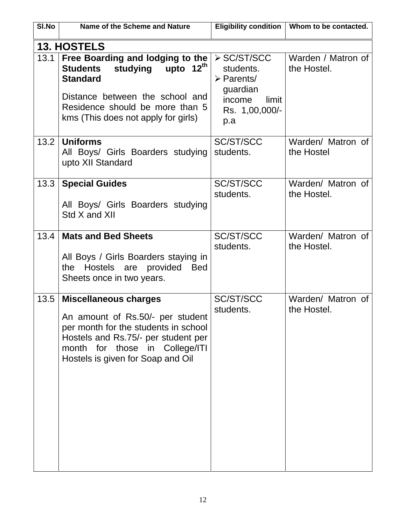| SI.No | Name of the Scheme and Nature                                                                                                                                                                                          | <b>Eligibility condition</b>                                                                                  | Whom to be contacted.             |
|-------|------------------------------------------------------------------------------------------------------------------------------------------------------------------------------------------------------------------------|---------------------------------------------------------------------------------------------------------------|-----------------------------------|
|       | <b>13. HOSTELS</b>                                                                                                                                                                                                     |                                                                                                               |                                   |
| 13.1  | Free Boarding and lodging to the<br>upto $12^{th}$<br>studying<br><b>Students</b><br><b>Standard</b><br>Distance between the school and<br>Residence should be more than 5<br>kms (This does not apply for girls)      | ≻ SC/ST/SCC<br>students.<br>$\triangleright$ Parents/<br>guardian<br>income<br>limit<br>Rs. 1,00,000/-<br>p.a | Warden / Matron of<br>the Hostel. |
| 13.2  | <b>Uniforms</b><br>All Boys/ Girls Boarders studying<br>upto XII Standard                                                                                                                                              | <b>SC/ST/SCC</b><br>students.                                                                                 | Warden/ Matron of<br>the Hostel   |
| 13.3  | <b>Special Guides</b><br>All Boys/ Girls Boarders studying<br>Std X and XII                                                                                                                                            | <b>SC/ST/SCC</b><br>students.                                                                                 | Warden/ Matron of<br>the Hostel.  |
| 13.4  | <b>Mats and Bed Sheets</b><br>All Boys / Girls Boarders staying in<br>Hostels are provided<br><b>Bed</b><br>the<br>Sheets once in two years.                                                                           | <b>SC/ST/SCC</b><br>students.                                                                                 | Warden/ Matron of<br>the Hostel.  |
| 13.5  | <b>Miscellaneous charges</b><br>An amount of Rs.50/- per student<br>per month for the students in school<br>Hostels and Rs.75/- per student per<br>month for those in College/ITI<br>Hostels is given for Soap and Oil | SC/ST/SCC<br>students.                                                                                        | Warden/ Matron of<br>the Hostel.  |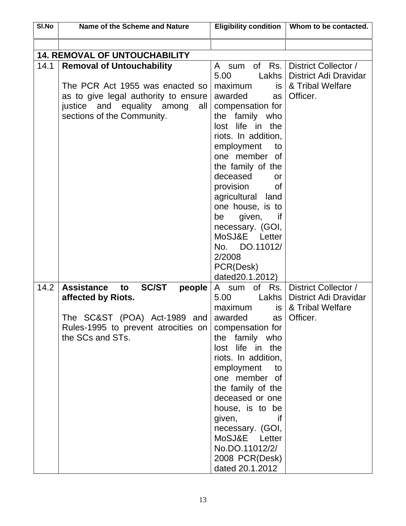| $\overline{SI}$ . No | Name of the Scheme and Nature                                                                                                                                                    |                                                                                                                                                                                                                                                                                                                                                 | Eligibility condition   Whom to be contacted.                                              |
|----------------------|----------------------------------------------------------------------------------------------------------------------------------------------------------------------------------|-------------------------------------------------------------------------------------------------------------------------------------------------------------------------------------------------------------------------------------------------------------------------------------------------------------------------------------------------|--------------------------------------------------------------------------------------------|
|                      |                                                                                                                                                                                  |                                                                                                                                                                                                                                                                                                                                                 |                                                                                            |
|                      | <b>14. REMOVAL OF UNTOUCHABILITY</b>                                                                                                                                             |                                                                                                                                                                                                                                                                                                                                                 |                                                                                            |
| 14.1                 | <b>Removal of Untouchability</b><br>The PCR Act 1955 was enacted so<br>as to give legal authority to ensure<br>justice and equality among<br>all I<br>sections of the Community. | A sum of Rs.<br>5.00<br>maximum<br>awarded<br>as<br>compensation for<br>the family who<br>lost life in the<br>riots. In addition,<br>employment<br>to<br>one member of                                                                                                                                                                          | District Collector /<br>Lakhs   District Adi Dravidar<br>is   & Tribal Welfare<br>Officer. |
|                      |                                                                                                                                                                                  | the family of the<br>deceased<br><b>or</b><br>provision<br><b>of</b><br>agricultural land<br>one house, is to<br>given,<br>be<br><b>if</b><br>necessary. (GOI,<br>MoSJ&E Letter<br>No. DO.11012/<br>2/2008<br>PCR(Desk)<br>dated20.1.2012)                                                                                                      |                                                                                            |
| 14.2                 | <b>Assistance</b><br><b>SC/ST</b><br>people<br>to<br>affected by Riots.<br>The SC&ST (POA) Act-1989 and<br>Rules-1995 to prevent atrocities on<br>the SCs and STs.               | A sum of Rs.<br>5.00<br>maximum<br>is l<br>awarded<br>compensation for<br>the family who<br>lost life in the<br>riots. In addition,<br>employment<br>to<br>one member of<br>the family of the<br>deceased or one<br>house, is to be<br>given,<br>if<br>necessary. (GOI,<br>MoSJ&E Letter<br>No.DO.11012/2/<br>2008 PCR(Desk)<br>dated 20.1.2012 | District Collector /<br>Lakhs   District Adi Dravidar<br>& Tribal Welfare<br>as   Officer. |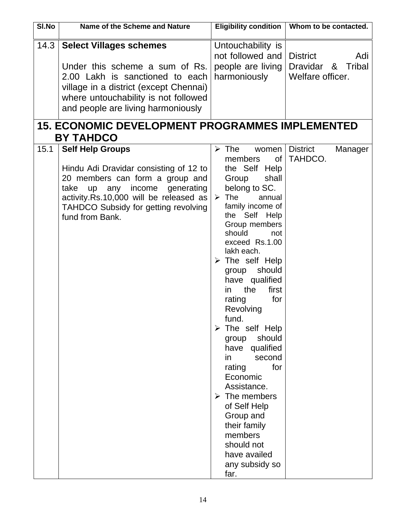| SI.No | Name of the Scheme and Nature                                                                                                                                                                                                                     | <b>Eligibility condition</b>                                                                                                                                                                                                                                                                                                                                                                                                                                                                                                                                                                                                                                        | Whom to be contacted.                                              |
|-------|---------------------------------------------------------------------------------------------------------------------------------------------------------------------------------------------------------------------------------------------------|---------------------------------------------------------------------------------------------------------------------------------------------------------------------------------------------------------------------------------------------------------------------------------------------------------------------------------------------------------------------------------------------------------------------------------------------------------------------------------------------------------------------------------------------------------------------------------------------------------------------------------------------------------------------|--------------------------------------------------------------------|
| 14.3  | <b>Select Villages schemes</b><br>Under this scheme a sum of Rs.<br>2.00 Lakh is sanctioned to each<br>village in a district (except Chennai)<br>where untouchability is not followed<br>and people are living harmoniously                       | Untouchability is<br>not followed and<br>people are living<br>harmoniously                                                                                                                                                                                                                                                                                                                                                                                                                                                                                                                                                                                          | <b>District</b><br>Adi<br>Tribal<br>Dravidar &<br>Welfare officer. |
|       | <b>15. ECONOMIC DEVELOPMENT PROGRAMMES IMPLEMENTED</b><br><b>BY TAHDCO</b>                                                                                                                                                                        |                                                                                                                                                                                                                                                                                                                                                                                                                                                                                                                                                                                                                                                                     |                                                                    |
| 15.1  | <b>Self Help Groups</b><br>Hindu Adi Dravidar consisting of 12 to<br>20 members can form a group and<br>take up any income generating<br>activity.Rs.10,000 will be released as<br><b>TAHDCO Subsidy for getting revolving</b><br>fund from Bank. | $\triangleright$ The<br>women<br>members<br>0f<br>the Self Help<br>Group<br>shall<br>belong to SC.<br>$\triangleright$ The<br>annual<br>family income of<br>the Self Help<br>Group members<br>should<br>not<br>exceed Rs.1.00<br>lakh each.<br>$\triangleright$ The self Help<br>should<br>group<br>have qualified<br>the<br>first<br>in.<br>rating<br>for<br>Revolving<br>fund.<br>$\triangleright$ The self Help<br>should<br>group<br>have qualified<br>second<br>in<br>rating<br>for<br>Economic<br>Assistance.<br>$\triangleright$ The members<br>of Self Help<br>Group and<br>their family<br>members<br>should not<br>have availed<br>any subsidy so<br>far. | <b>District</b><br>Manager<br>TAHDCO.                              |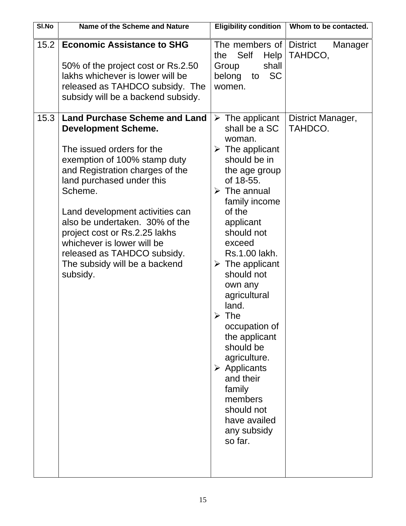| <b>Economic Assistance to SHG</b><br>15.2<br>The members of District<br>Self<br>TAHDCO,<br>Help<br>the<br>shall<br>50% of the project cost or Rs.2.50<br>Group<br>lakhs whichever is lower will be<br>belong<br><b>SC</b><br>to                                                                                                                                                                                                                                                                                                                                                                                                                                                                                                                                                                                                                                                                                                                                                                    | <b>Name of the Scheme and Nature</b> | Whom to be contacted. |
|----------------------------------------------------------------------------------------------------------------------------------------------------------------------------------------------------------------------------------------------------------------------------------------------------------------------------------------------------------------------------------------------------------------------------------------------------------------------------------------------------------------------------------------------------------------------------------------------------------------------------------------------------------------------------------------------------------------------------------------------------------------------------------------------------------------------------------------------------------------------------------------------------------------------------------------------------------------------------------------------------|--------------------------------------|-----------------------|
| released as TAHDCO subsidy. The<br>women.<br>subsidy will be a backend subsidy.                                                                                                                                                                                                                                                                                                                                                                                                                                                                                                                                                                                                                                                                                                                                                                                                                                                                                                                    |                                      | Manager               |
| 15.3<br><b>Land Purchase Scheme and Land</b><br>$\triangleright$ The applicant<br>shall be a SC<br>TAHDCO.<br><b>Development Scheme.</b><br>woman.<br>The issued orders for the<br>$\triangleright$ The applicant<br>should be in<br>exemption of 100% stamp duty<br>and Registration charges of the<br>the age group<br>land purchased under this<br>of 18-55.<br>Scheme.<br>$\triangleright$ The annual<br>family income<br>of the<br>Land development activities can<br>also be undertaken. 30% of the<br>applicant<br>should not<br>project cost or Rs.2.25 lakhs<br>whichever is lower will be<br>exceed<br>released as TAHDCO subsidy.<br>Rs.1.00 lakh.<br>The subsidy will be a backend<br>$\triangleright$ The applicant<br>should not<br>subsidy.<br>own any<br>agricultural<br>land.<br>The<br>➤<br>occupation of<br>the applicant<br>should be<br>agriculture.<br>$\triangleright$ Applicants<br>and their<br>family<br>members<br>should not<br>have availed<br>any subsidy<br>so far. |                                      | District Manager,     |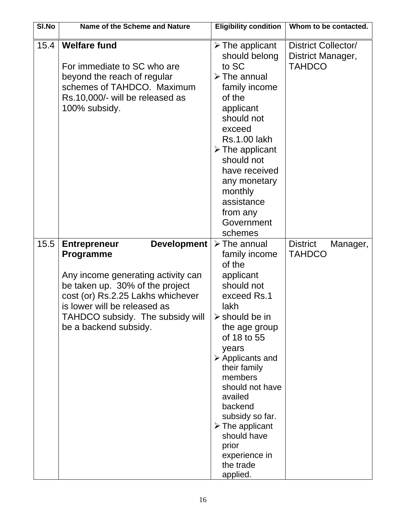| SI.No | Name of the Scheme and Nature                                                                                                                                                                                                                                            | <b>Eligibility condition</b>                                                                                                                                                                                                                                                                                                                                                                                     | Whom to be contacted.                                            |
|-------|--------------------------------------------------------------------------------------------------------------------------------------------------------------------------------------------------------------------------------------------------------------------------|------------------------------------------------------------------------------------------------------------------------------------------------------------------------------------------------------------------------------------------------------------------------------------------------------------------------------------------------------------------------------------------------------------------|------------------------------------------------------------------|
| 15.4  | <b>Welfare fund</b><br>For immediate to SC who are<br>beyond the reach of regular<br>schemes of TAHDCO. Maximum<br>Rs.10,000/- will be released as<br>100% subsidy.                                                                                                      | $\triangleright$ The applicant<br>should belong<br>to SC<br>$\triangleright$ The annual<br>family income<br>of the<br>applicant<br>should not<br>exceed<br><b>Rs.1.00 lakh</b><br>$\triangleright$ The applicant<br>should not<br>have received<br>any monetary<br>monthly<br>assistance<br>from any<br>Government<br>schemes                                                                                    | <b>District Collector/</b><br>District Manager,<br><b>TAHDCO</b> |
| 15.5  | <b>Development</b><br><b>Entrepreneur</b><br><b>Programme</b><br>Any income generating activity can<br>be taken up. 30% of the project<br>cost (or) Rs.2.25 Lakhs whichever<br>is lower will be released as<br>TAHDCO subsidy. The subsidy will<br>be a backend subsidy. | $\triangleright$ The annual<br>family income<br>of the<br>applicant<br>should not<br>exceed Rs.1<br>lakh<br>$\triangleright$ should be in<br>the age group<br>of 18 to 55<br>years<br>$\triangleright$ Applicants and<br>their family<br>members<br>should not have<br>availed<br>backend<br>subsidy so far.<br>$\triangleright$ The applicant<br>should have<br>prior<br>experience in<br>the trade<br>applied. | <b>District</b><br>Manager,<br><b>TAHDCO</b>                     |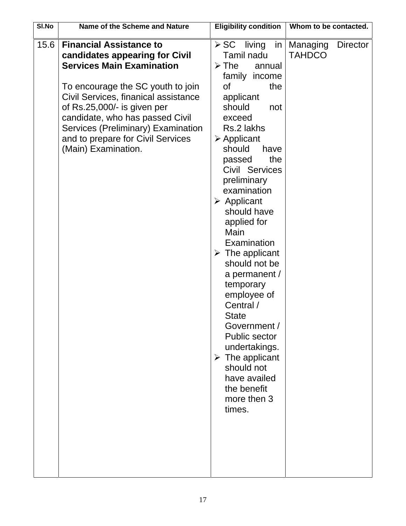| SI.No | Name of the Scheme and Nature                                                                                                                                                                                                                                                                                                                         | <b>Eligibility condition</b>                                                                                                                                                                                                                                                                                                                                                                                                                                                                                                                                                                                                                                                 | Whom to be contacted.                 |
|-------|-------------------------------------------------------------------------------------------------------------------------------------------------------------------------------------------------------------------------------------------------------------------------------------------------------------------------------------------------------|------------------------------------------------------------------------------------------------------------------------------------------------------------------------------------------------------------------------------------------------------------------------------------------------------------------------------------------------------------------------------------------------------------------------------------------------------------------------------------------------------------------------------------------------------------------------------------------------------------------------------------------------------------------------------|---------------------------------------|
| 15.6  | <b>Financial Assistance to</b><br>candidates appearing for Civil<br><b>Services Main Examination</b><br>To encourage the SC youth to join<br>Civil Services, finanical assistance<br>of Rs.25,000/- is given per<br>candidate, who has passed Civil<br>Services (Preliminary) Examination<br>and to prepare for Civil Services<br>(Main) Examination. | living<br>≻ SC<br>$\mathsf{in}$<br>Tamil nadu<br>$\triangleright$ The<br>annual<br>family income<br><b>of</b><br>the<br>applicant<br>should<br>not<br>exceed<br>Rs.2 lakhs<br>$\triangleright$ Applicant<br>should<br>have<br>the<br>passed<br>Civil Services<br>preliminary<br>examination<br>$\triangleright$ Applicant<br>should have<br>applied for<br>Main<br>Examination<br>$\triangleright$ The applicant<br>should not be<br>a permanent /<br>temporary<br>employee of<br>Central /<br><b>State</b><br>Government /<br><b>Public sector</b><br>undertakings.<br>$\triangleright$ The applicant<br>should not<br>have availed<br>the benefit<br>more then 3<br>times. | Managing<br>Director<br><b>TAHDCO</b> |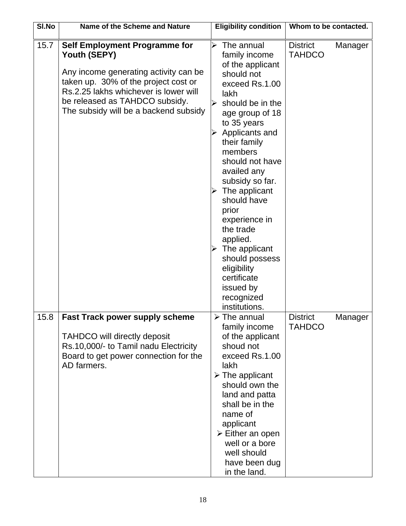| SI.No | Name of the Scheme and Nature                                                                                                                                                                                                                             | <b>Eligibility condition</b>                                                                                                                                                                                                                                                                                                                                                                                                                                                                                 | Whom to be contacted.                       |
|-------|-----------------------------------------------------------------------------------------------------------------------------------------------------------------------------------------------------------------------------------------------------------|--------------------------------------------------------------------------------------------------------------------------------------------------------------------------------------------------------------------------------------------------------------------------------------------------------------------------------------------------------------------------------------------------------------------------------------------------------------------------------------------------------------|---------------------------------------------|
| 15.7  | <b>Self Employment Programme for</b><br>Youth (SEPY)<br>Any income generating activity can be<br>taken up. 30% of the project cost or<br>Rs.2.25 lakhs whichever is lower will<br>be released as TAHDCO subsidy.<br>The subsidy will be a backend subsidy | The annual<br>➢<br>family income<br>of the applicant<br>should not<br>exceed Rs.1.00<br>lakh<br>should be in the<br>≻<br>age group of 18<br>to 35 years<br>$\triangleright$ Applicants and<br>their family<br>members<br>should not have<br>availed any<br>subsidy so far.<br>$\triangleright$ The applicant<br>should have<br>prior<br>experience in<br>the trade<br>applied.<br>$\triangleright$ The applicant<br>should possess<br>eligibility<br>certificate<br>issued by<br>recognized<br>institutions. | <b>District</b><br>Manager<br><b>TAHDCO</b> |
| 15.8  | Fast Track power supply scheme<br><b>TAHDCO will directly deposit</b><br>Rs.10,000/- to Tamil nadu Electricity<br>Board to get power connection for the<br>AD farmers.                                                                                    | $\triangleright$ The annual<br>family income<br>of the applicant<br>shoud not<br>exceed Rs.1.00<br>lakh<br>$\triangleright$ The applicant<br>should own the<br>land and patta<br>shall be in the<br>name of<br>applicant<br>$\triangleright$ Either an open<br>well or a bore<br>well should<br>have been dug<br>in the land.                                                                                                                                                                                | <b>District</b><br>Manager<br><b>TAHDCO</b> |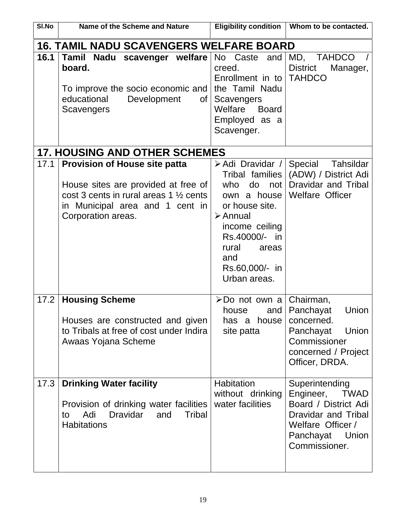| SI.No | Name of the Scheme and Nature                                                                                                                                                                 | <b>Eligibility condition</b>                                                                                                                                        | Whom to be contacted.                                                                                                                                 |
|-------|-----------------------------------------------------------------------------------------------------------------------------------------------------------------------------------------------|---------------------------------------------------------------------------------------------------------------------------------------------------------------------|-------------------------------------------------------------------------------------------------------------------------------------------------------|
|       | <b>16. TAMIL NADU SCAVENGERS WELFARE BOARD</b>                                                                                                                                                |                                                                                                                                                                     |                                                                                                                                                       |
| 16.1  | Tamil Nadu scavenger welfare<br>board.<br>To improve the socio economic and<br>educational<br>Development<br>of<br>Scavengers                                                                 | No Caste<br>and<br>creed.<br>Enrollment in to<br>the Tamil Nadu<br>Scavengers<br>Welfare<br><b>Board</b><br>Employed as a<br>Scavenger.                             | MD, TAHDCO<br><b>District</b><br>Manager,<br><b>TAHDCO</b>                                                                                            |
|       | <b>17. HOUSING AND OTHER SCHEMES</b>                                                                                                                                                          |                                                                                                                                                                     |                                                                                                                                                       |
| 17.1  | <b>Provision of House site patta</b><br>House sites are provided at free of<br>$\cos t$ 3 cents in rural areas 1 $\frac{1}{2}$ cents<br>in Municipal area and 1 cent in<br>Corporation areas. | do<br>who<br>own a house<br>or house site.<br>$\triangleright$ Annual<br>income ceiling<br>Rs.40000/- in<br>rural<br>areas<br>and<br>Rs.60,000/- in<br>Urban areas. | > Adi Dravidar / Special Tahsildar<br>Tribal families   (ADW) / District Adi<br>not Dravidar and Tribal<br><b>Welfare Officer</b>                     |
| 17.2  | <b>Housing Scheme</b><br>Houses are constructed and given<br>to Tribals at free of cost under Indira<br>Awaas Yojana Scheme                                                                   | ≻Do not own a Chairman,<br>house<br>and $ $<br>has a house<br>site patta                                                                                            | Union<br>Panchayat<br>concerned.<br>Panchayat<br>Union<br>Commissioner<br>concerned / Project<br>Officer, DRDA.                                       |
| 17.3  | <b>Drinking Water facility</b><br>Provision of drinking water facilities<br><b>Dravidar</b><br><b>Tribal</b><br>Adi<br>and<br>to<br><b>Habitations</b>                                        | Habitation<br>without drinking<br>water facilities                                                                                                                  | Superintending<br>Engineer,<br><b>TWAD</b><br>Board / District Adi<br>Dravidar and Tribal<br>Welfare Officer /<br>Panchayat<br>Union<br>Commissioner. |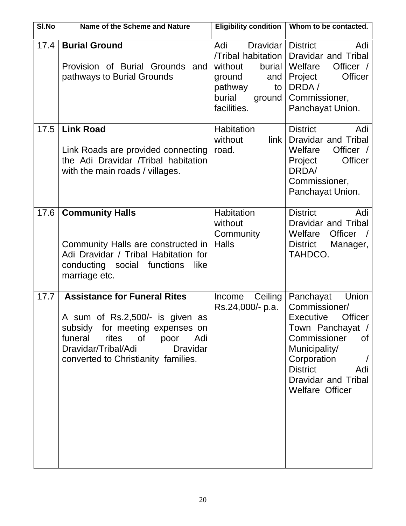| SI.No | Name of the Scheme and Nature                                                                                                                                                                                                    | <b>Eligibility condition</b>                                                                                                    | Whom to be contacted.                                                                                                                                                                                                     |
|-------|----------------------------------------------------------------------------------------------------------------------------------------------------------------------------------------------------------------------------------|---------------------------------------------------------------------------------------------------------------------------------|---------------------------------------------------------------------------------------------------------------------------------------------------------------------------------------------------------------------------|
| 17.4  | <b>Burial Ground</b><br>Provision of Burial Grounds and<br>pathways to Burial Grounds                                                                                                                                            | Dravidar<br>Adi<br>/Tribal habitation<br>without<br>burial<br>ground<br>and<br>pathway<br>to<br>burial<br>ground<br>facilities. | <b>District</b><br>Adi<br><b>Dravidar and Tribal</b><br>Welfare<br>Officer /<br><b>Officer</b><br>Project<br>DRDA/<br>Commissioner,<br>Panchayat Union.                                                                   |
| 17.5  | <b>Link Road</b><br>Link Roads are provided connecting<br>the Adi Dravidar /Tribal habitation<br>with the main roads / villages.                                                                                                 | Habitation<br>link<br>without<br>road.                                                                                          | <b>District</b><br>Adi<br>Dravidar and Tribal<br>Welfare<br>Officer /<br><b>Officer</b><br>Project<br>DRDA/<br>Commissioner,<br>Panchayat Union.                                                                          |
| 17.6  | <b>Community Halls</b><br>Community Halls are constructed in<br>Adi Dravidar / Tribal Habitation for<br>conducting social functions<br>like<br>marriage etc.                                                                     | Habitation<br>without<br>Community<br><b>Halls</b>                                                                              | <b>District</b><br>Adi<br>Dravidar and Tribal<br>Officer<br>Welfare<br><b>District</b><br>Manager,<br>TAHDCO.                                                                                                             |
| 17.7  | <b>Assistance for Funeral Rites</b><br>A sum of Rs.2,500/- is given as<br>subsidy for meeting expenses on<br>funeral<br>rites of<br>poor<br>Adi<br>Dravidar/Tribal/Adi<br><b>Dravidar</b><br>converted to Christianity families. | Ceiling<br>Income<br>Rs.24,000/- p.a.                                                                                           | Union<br>Panchayat<br>Commissioner/<br>Officer I<br><b>Executive</b><br>Town Panchayat /<br>Commissioner<br>of<br>Municipality/<br>Corporation<br><b>District</b><br>Adi<br>Dravidar and Tribal<br><b>Welfare Officer</b> |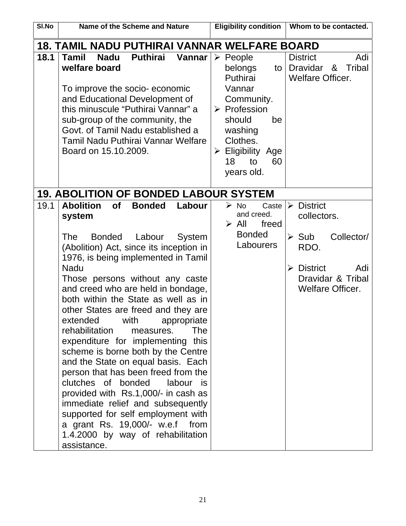| SI.No | <b>Name of the Scheme and Nature</b>                                                                                                                                                                                                                                                                                                                                                                                                                                                                                                                                                                                                                                                                                                                                                                                                                               | <b>Eligibility condition</b><br>Whom to be contacted.                                                                                                                                                                                                                                                         |     |
|-------|--------------------------------------------------------------------------------------------------------------------------------------------------------------------------------------------------------------------------------------------------------------------------------------------------------------------------------------------------------------------------------------------------------------------------------------------------------------------------------------------------------------------------------------------------------------------------------------------------------------------------------------------------------------------------------------------------------------------------------------------------------------------------------------------------------------------------------------------------------------------|---------------------------------------------------------------------------------------------------------------------------------------------------------------------------------------------------------------------------------------------------------------------------------------------------------------|-----|
|       | <u> 18. TAMIL NADU PUTHIRAI VANNAR WELFARE BOARD</u>                                                                                                                                                                                                                                                                                                                                                                                                                                                                                                                                                                                                                                                                                                                                                                                                               |                                                                                                                                                                                                                                                                                                               |     |
| 18.1  | <b>Puthirai</b><br><b>Tamil</b><br><b>Nadu</b><br>Vannar<br>welfare board<br>To improve the socio-economic<br>and Educational Development of<br>this minuscule "Puthirai Vannar" a<br>sub-group of the community, the<br>Govt. of Tamil Nadu established a<br>Tamil Nadu Puthirai Vannar Welfare<br>Board on 15.10.2009.                                                                                                                                                                                                                                                                                                                                                                                                                                                                                                                                           | <b>District</b><br>$\triangleright$ People<br><b>Tribal</b><br><b>Dravidar</b><br>belongs<br>&<br>to<br>Puthirai<br><b>Welfare Officer.</b><br>Vannar<br>Community.<br>$\triangleright$ Profession<br>should<br>be<br>washing<br>Clothes.<br>$\triangleright$ Eligibility Age<br>18<br>to<br>60<br>years old. | Adi |
|       | <b>19. ABOLITION OF BONDED LABOUR SYSTEM</b>                                                                                                                                                                                                                                                                                                                                                                                                                                                                                                                                                                                                                                                                                                                                                                                                                       |                                                                                                                                                                                                                                                                                                               |     |
| 19.1  | <b>Abolition</b><br><b>Bonded</b><br><b>of</b><br>Labour<br>system<br><b>The</b><br><b>Bonded</b><br>Labour<br>System<br>(Abolition) Act, since its inception in<br>1976, is being implemented in Tamil<br><b>Nadu</b><br>Those persons without any caste<br>and creed who are held in bondage,<br>both within the State as well as in<br>other States are freed and they are<br>extended with<br>appropriate<br>rehabilitation<br><b>The</b><br>measures.<br>expenditure for implementing this<br>scheme is borne both by the Centre<br>and the State on equal basis. Each<br>person that has been freed from the<br>clutches of bonded<br>labour<br>is.<br>provided with Rs.1,000/- in cash as<br>immediate relief and subsequently<br>supported for self employment with<br>a grant Rs. 19,000/- w.e.f from<br>1.4.2000 by way of rehabilitation<br>assistance. | $\triangleright$ District<br>$\triangleright$ No<br>Caste<br>and creed.<br>collectors.<br>$\triangleright$ All<br>freed<br><b>Bonded</b><br>Collector/<br>$\triangleright$ Sub<br>Labourers<br>RDO.<br><b>District</b><br>➤<br>Dravidar & Tribal<br><b>Welfare Officer.</b>                                   | Adi |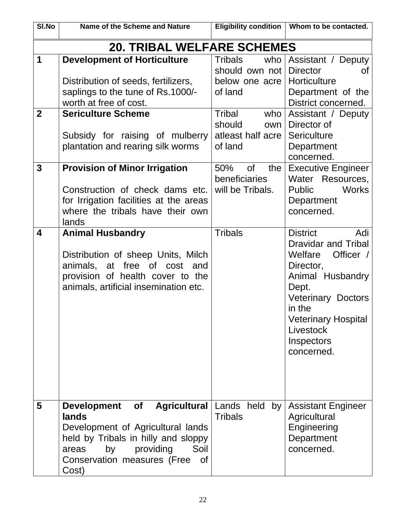| SI.No             | Name of the Scheme and Nature                                                                                                                                                                            |                                                                                                                             | Eligibility condition   Whom to be contacted.                                                                                                                                                                                 |
|-------------------|----------------------------------------------------------------------------------------------------------------------------------------------------------------------------------------------------------|-----------------------------------------------------------------------------------------------------------------------------|-------------------------------------------------------------------------------------------------------------------------------------------------------------------------------------------------------------------------------|
|                   | <b>20. TRIBAL WELFARE SCHEMES</b>                                                                                                                                                                        |                                                                                                                             |                                                                                                                                                                                                                               |
| 1<br>$\mathbf{2}$ | <b>Development of Horticulture</b><br>Distribution of seeds, fertilizers,<br>saplings to the tune of Rs.1000/-<br>worth at free of cost.<br><b>Sericulture Scheme</b><br>Subsidy for raising of mulberry | <b>Tribals</b><br>who<br>should own not<br>below one acre<br>of land<br>Tribal<br>who<br>should<br>own<br>atleast half acre | Assistant / Deputy<br><b>Director</b><br><b>of</b><br>Horticulture<br>Department of the<br>District concerned.<br>Assistant / Deputy<br>Director of<br><b>Sericulture</b>                                                     |
|                   | plantation and rearing silk worms                                                                                                                                                                        | of land                                                                                                                     | Department<br>concerned.                                                                                                                                                                                                      |
| 3                 | <b>Provision of Minor Irrigation</b><br>Construction of check dams etc.<br>for Irrigation facilities at the areas<br>where the tribals have their own<br>lands                                           | <b>of</b><br>50%<br>the<br>beneficiaries<br>will be Tribals.                                                                | <b>Executive Engineer</b><br>Water Resources,<br><b>Public</b><br><b>Works</b><br>Department<br>concerned.                                                                                                                    |
| 4                 | <b>Animal Husbandry</b><br>Distribution of sheep Units, Milch<br>animals, at free of cost and<br>provision of health cover to the<br>animals, artificial insemination etc.                               | <b>Tribals</b>                                                                                                              | <b>District</b><br>Adi<br>Dravidar and Tribal<br>Welfare<br>Officer /<br>Director,<br>Animal Husbandry<br>Dept.<br><b>Veterinary Doctors</b><br>in the<br><b>Veterinary Hospital</b><br>Livestock<br>Inspectors<br>concerned. |
| 5                 | Development of<br>lands<br>Development of Agricultural lands<br>held by Tribals in hilly and sloppy<br>providing<br>Soil<br>by<br>areas<br>Conservation measures (Free<br>0f<br>Cost)                    | <b>Agricultural</b> Lands held by<br><b>Tribals</b>                                                                         | <b>Assistant Engineer</b><br>Agricultural<br>Engineering<br>Department<br>concerned.                                                                                                                                          |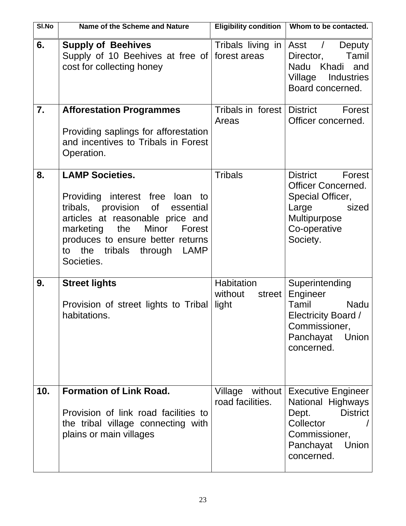| SI.No | Name of the Scheme and Nature                                                                                                                                                                                                                                               | <b>Eligibility condition</b>             | Whom to be contacted.                                                                                                                        |
|-------|-----------------------------------------------------------------------------------------------------------------------------------------------------------------------------------------------------------------------------------------------------------------------------|------------------------------------------|----------------------------------------------------------------------------------------------------------------------------------------------|
| 6.    | <b>Supply of Beehives</b><br>Supply of 10 Beehives at free of forest areas<br>cost for collecting honey                                                                                                                                                                     | Tribals living in                        | Asst /<br>Deputy<br>Director,<br>Tamil<br>Nadu Khadi<br>and<br>Village<br>Industries<br>Board concerned.                                     |
| 7.    | <b>Afforestation Programmes</b><br>Providing saplings for afforestation<br>and incentives to Tribals in Forest<br>Operation.                                                                                                                                                | Tribals in forest<br>Areas               | <b>District</b><br>Forest<br>Officer concerned.                                                                                              |
| 8.    | <b>LAMP Societies.</b><br>Providing interest free loan<br>to<br>tribals, provision of<br>essential<br>articles at reasonable price and<br>Minor<br>the<br>marketing<br>Forest<br>produces to ensure better returns<br>the<br>tribals<br>through<br>LAMP<br>to<br>Societies. | <b>Tribals</b>                           | <b>District</b><br>Forest<br><b>Officer Concerned.</b><br>Special Officer,<br>sized<br>Large<br>Multipurpose<br>Co-operative<br>Society.     |
| 9.    | <b>Street lights</b><br>Provision of street lights to Tribal<br>habitations.                                                                                                                                                                                                | Habitation<br>without<br>street<br>light | Superintending<br>Engineer<br>Tamil<br><b>Nadu</b><br>Electricity Board /<br>Commissioner,<br>Panchayat<br>Union<br>concerned.               |
| 10.   | <b>Formation of Link Road.</b><br>Provision of link road facilities to<br>the tribal village connecting with<br>plains or main villages                                                                                                                                     | Village<br>without<br>road facilities.   | <b>Executive Engineer</b><br>National Highways<br><b>District</b><br>Dept.<br>Collector<br>Commissioner,<br>Panchayat<br>Union<br>concerned. |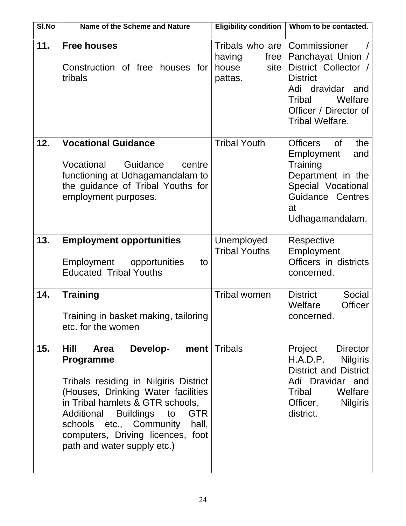| SI.No | Name of the Scheme and Nature                                                                                                                                                                                                                                                                                                | <b>Eligibility condition</b>                                  | Whom to be contacted.                                                                                                                                                    |
|-------|------------------------------------------------------------------------------------------------------------------------------------------------------------------------------------------------------------------------------------------------------------------------------------------------------------------------------|---------------------------------------------------------------|--------------------------------------------------------------------------------------------------------------------------------------------------------------------------|
| 11.   | <b>Free houses</b><br>Construction of free houses for<br>tribals                                                                                                                                                                                                                                                             | Tribals who are<br>having<br>free<br>house<br>site<br>pattas. | Commissioner<br>Panchayat Union /<br>District Collector /<br><b>District</b><br>Adi dravidar and<br>Welfare<br>Tribal<br>Officer / Director of<br><b>Tribal Welfare.</b> |
| 12.   | <b>Vocational Guidance</b><br>Vocational<br>Guidance<br>centre<br>functioning at Udhagamandalam to<br>the guidance of Tribal Youths for<br>employment purposes.                                                                                                                                                              | <b>Tribal Youth</b>                                           | <b>Officers</b><br><b>of</b><br>the<br>Employment<br>and<br>Training<br>Department in the<br>Special Vocational<br>Guidance Centres<br>at<br>Udhagamandalam.             |
| 13.   | <b>Employment opportunities</b><br>Employment opportunities<br>to<br><b>Educated Tribal Youths</b>                                                                                                                                                                                                                           | Unemployed<br><b>Tribal Youths</b>                            | Respective<br>Employment<br>Officers in districts<br>concerned.                                                                                                          |
| 14.   | <b>Training</b><br>Training in basket making, tailoring<br>etc. for the women                                                                                                                                                                                                                                                | <b>Tribal women</b>                                           | <b>District</b><br>Social<br>Welfare<br><b>Officer</b><br>concerned                                                                                                      |
| 15.   | Develop-<br>ment<br>Hill<br><b>Area</b><br><b>Programme</b><br>Tribals residing in Nilgiris District<br>(Houses, Drinking Water facilities<br>in Tribal hamlets & GTR schools,<br>Additional Buildings to<br><b>GTR</b><br>schools etc., Community hall,<br>computers, Driving licences, foot<br>path and water supply etc.) | <b>Tribals</b>                                                | Project<br><b>Director</b><br>H.A.D.P.<br><b>Nilgiris</b><br><b>District and District</b><br>Adi Dravidar and<br>Tribal<br>Welfare<br>Officer, Nilgiris<br>district.     |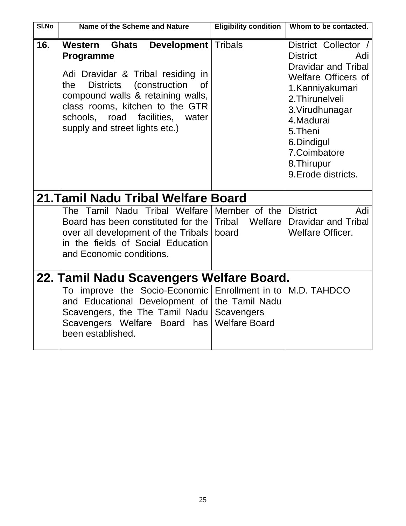| SI.No                              | Name of the Scheme and Nature                                                                                                                                                                                                                                                                            | <b>Eligibility condition</b>                | Whom to be contacted.                                                                                                                                                                                                                                              |  |  |  |
|------------------------------------|----------------------------------------------------------------------------------------------------------------------------------------------------------------------------------------------------------------------------------------------------------------------------------------------------------|---------------------------------------------|--------------------------------------------------------------------------------------------------------------------------------------------------------------------------------------------------------------------------------------------------------------------|--|--|--|
| 16.                                | Western<br><b>Ghats</b><br><b>Development</b><br><b>Programme</b><br>Adi Dravidar & Tribal residing in<br><b>Districts</b><br>(construction<br>the<br>Οf<br>compound walls & retaining walls,<br>class rooms, kitchen to the GTR<br>schools, road<br>facilities, water<br>supply and street lights etc.) | <b>Tribals</b>                              | District Collector /<br><b>District</b><br>Adi<br><b>Dravidar and Tribal</b><br><b>Welfare Officers of</b><br>1. Kanniyakumari<br>2. Thirunelveli<br>3. Virudhunagar<br>4. Madurai<br>5. Theni<br>6.Dindigul<br>7.Coimbatore<br>8. Thirupur<br>9. Erode districts. |  |  |  |
| 21.Tamil Nadu Tribal Welfare Board |                                                                                                                                                                                                                                                                                                          |                                             |                                                                                                                                                                                                                                                                    |  |  |  |
|                                    | The Tamil Nadu Tribal Welfare<br>Board has been constituted for the<br>over all development of the Tribals<br>in the fields of Social Education<br>and Economic conditions.                                                                                                                              | Member of the<br>Tribal<br>Welfare<br>board | <b>District</b><br>Adi<br><b>Dravidar and Tribal</b><br><b>Welfare Officer.</b>                                                                                                                                                                                    |  |  |  |
|                                    | 22. Tamil Nadu Scavengers Welfare Board.                                                                                                                                                                                                                                                                 |                                             |                                                                                                                                                                                                                                                                    |  |  |  |
|                                    | To improve the Socio-Economic Enrollment in to<br>and Educational Development of   the Tamil Nadu<br>Scavengers, the The Tamil Nadu<br>Scavengers Welfare Board has<br>been established.                                                                                                                 | Scavengers<br><b>Welfare Board</b>          | M.D. TAHDCO                                                                                                                                                                                                                                                        |  |  |  |